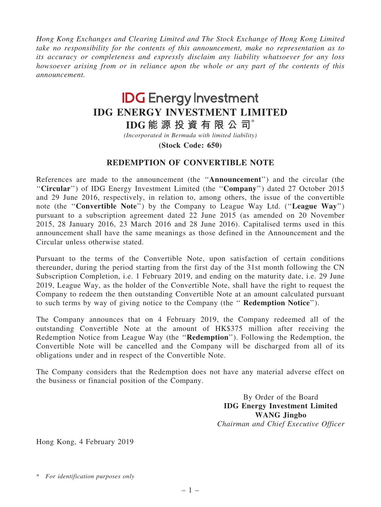Hong Kong Exchanges and Clearing Limited and The Stock Exchange of Hong Kong Limited take no responsibility for the contents of this announcement, make no representation as to its accuracy or completeness and expressly disclaim any liability whatsoever for any loss howsoever arising from or in reliance upon the whole or any part of the contents of this announcement.

## **IDG** Energy Investment IDG ENERGY INVESTMENT LIMITED

IDG 能 源 投 資 有 限 公 司\*

(Incorporated in Bermuda with limited liability)

(Stock Code: 650)

## REDEMPTION OF CONVERTIBLE NOTE

References are made to the announcement (the ''Announcement'') and the circular (the "Circular") of IDG Energy Investment Limited (the "Company") dated 27 October 2015 and 29 June 2016, respectively, in relation to, among others, the issue of the convertible note (the "Convertible Note") by the Company to League Way Ltd. ("League Way") pursuant to a subscription agreement dated 22 June 2015 (as amended on 20 November 2015, 28 January 2016, 23 March 2016 and 28 June 2016). Capitalised terms used in this announcement shall have the same meanings as those defined in the Announcement and the Circular unless otherwise stated.

Pursuant to the terms of the Convertible Note, upon satisfaction of certain conditions thereunder, during the period starting from the first day of the 31st month following the CN Subscription Completion, i.e. 1 February 2019, and ending on the maturity date, i.e. 29 June 2019, League Way, as the holder of the Convertible Note, shall have the right to request the Company to redeem the then outstanding Convertible Note at an amount calculated pursuant to such terms by way of giving notice to the Company (the '' Redemption Notice'').

The Company announces that on 4 February 2019, the Company redeemed all of the outstanding Convertible Note at the amount of HK\$375 million after receiving the Redemption Notice from League Way (the ''Redemption''). Following the Redemption, the Convertible Note will be cancelled and the Company will be discharged from all of its obligations under and in respect of the Convertible Note.

The Company considers that the Redemption does not have any material adverse effect on the business or financial position of the Company.

> By Order of the Board IDG Energy Investment Limited WANG Jingbo Chairman and Chief Executive Officer

Hong Kong, 4 February 2019

\* For identification purposes only